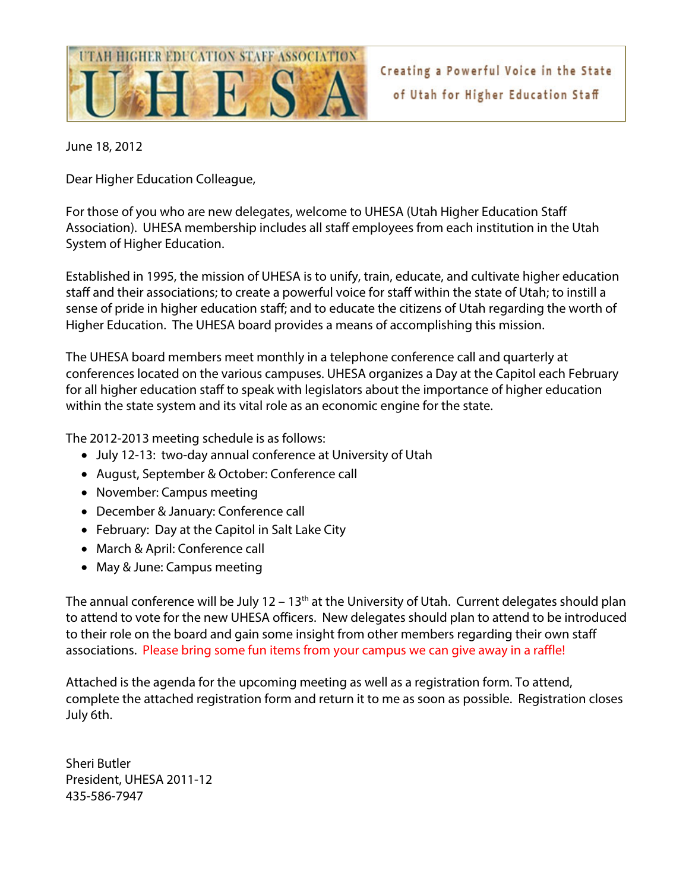

Creating a Powerful Voice in the State of Utah for Higher Education Staff

June 18, 2012

Dear Higher Education Colleague,

For those of you who are new delegates, welcome to UHESA (Utah Higher Education Staff Association). UHESA membership includes all staff employees from each institution in the Utah System of Higher Education.

Established in 1995, the mission of UHESA is to unify, train, educate, and cultivate higher education staff and their associations; to create a powerful voice for staff within the state of Utah; to instill a sense of pride in higher education staff; and to educate the citizens of Utah regarding the worth of Higher Education. The UHESA board provides a means of accomplishing this mission.

The UHESA board members meet monthly in a telephone conference call and quarterly at conferences located on the various campuses. UHESA organizes a Day at the Capitol each February for all higher education staff to speak with legislators about the importance of higher education within the state system and its vital role as an economic engine for the state.

The 2012-2013 meeting schedule is as follows:

- July 12-13: two-day annual conference at University of Utah
- August, September & October: Conference call
- November: Campus meeting
- December & January: Conference call
- February: Day at the Capitol in Salt Lake City
- March & April: Conference call
- May & June: Campus meeting

The annual conference will be July  $12 - 13$ <sup>th</sup> at the University of Utah. Current delegates should plan to attend to vote for the new UHESA officers. New delegates should plan to attend to be introduced to their role on the board and gain some insight from other members regarding their own staff associations. Please bring some fun items from your campus we can give away in a raffle!

Attached is the agenda for the upcoming meeting as well as a registration form. To attend, complete the attached registration form and return it to me as soon as possible. Registration closes July 6th.

Sheri Butler President, UHESA 2011-12 435-586-7947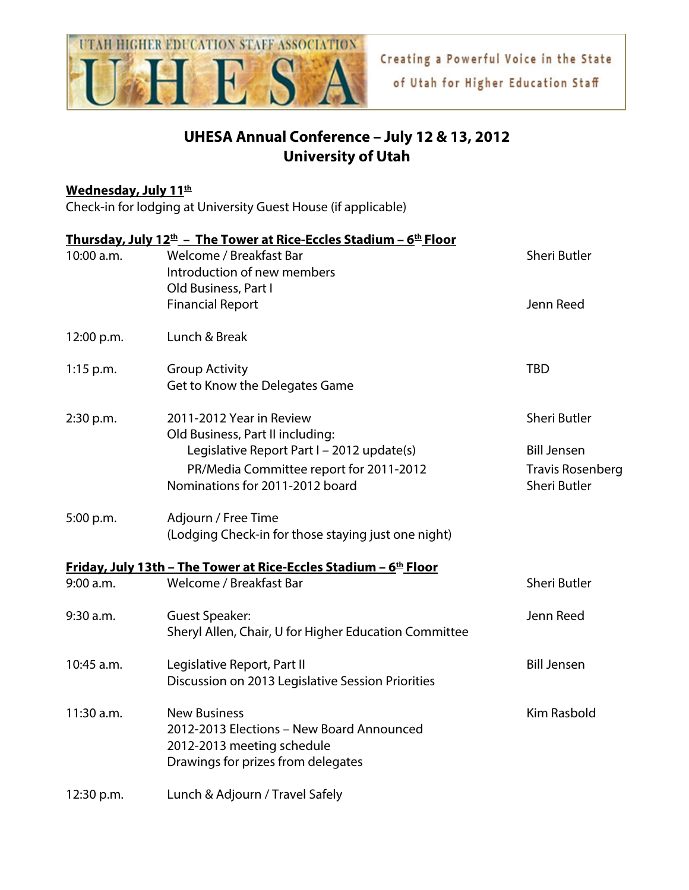

## **UHESA Annual Conference – July 12 & 13, 2012 University of Utah**

## **Wednesday, July 11th**

Check-in for lodging at University Guest House (if applicable)

| 10:00 a.m.  | <b>Thursday, July 12<sup>th</sup> - The Tower at Rice-Eccles Stadium - <math>6th</math> Floor</b><br>Welcome / Breakfast Bar<br>Introduction of new members  | Sheri Butler                                                         |
|-------------|--------------------------------------------------------------------------------------------------------------------------------------------------------------|----------------------------------------------------------------------|
|             | Old Business, Part I<br><b>Financial Report</b>                                                                                                              | Jenn Reed                                                            |
| 12:00 p.m.  | Lunch & Break                                                                                                                                                |                                                                      |
| $1:15$ p.m. | <b>Group Activity</b><br>Get to Know the Delegates Game                                                                                                      | <b>TBD</b>                                                           |
| 2:30 p.m.   | 2011-2012 Year in Review                                                                                                                                     | Sheri Butler                                                         |
|             | Old Business, Part II including:<br>Legislative Report Part I - 2012 update(s)<br>PR/Media Committee report for 2011-2012<br>Nominations for 2011-2012 board | <b>Bill Jensen</b><br><b>Travis Rosenberg</b><br><b>Sheri Butler</b> |
| 5:00 p.m.   | Adjourn / Free Time<br>(Lodging Check-in for those staying just one night)                                                                                   |                                                                      |
|             | <u> Friday, July 13th – The Tower at Rice-Eccles Stadium – 6th Floor</u>                                                                                     |                                                                      |
| 9:00 a.m.   | Welcome / Breakfast Bar                                                                                                                                      | <b>Sheri Butler</b>                                                  |
| 9:30 a.m.   | <b>Guest Speaker:</b><br>Sheryl Allen, Chair, U for Higher Education Committee                                                                               | Jenn Reed                                                            |
| 10:45 a.m.  | Legislative Report, Part II<br>Discussion on 2013 Legislative Session Priorities                                                                             | <b>Bill Jensen</b>                                                   |
| 11:30 a.m.  | <b>New Business</b><br>2012-2013 Elections - New Board Announced<br>2012-2013 meeting schedule<br>Drawings for prizes from delegates                         | <b>Kim Rasbold</b>                                                   |
| 12:30 p.m.  | Lunch & Adjourn / Travel Safely                                                                                                                              |                                                                      |